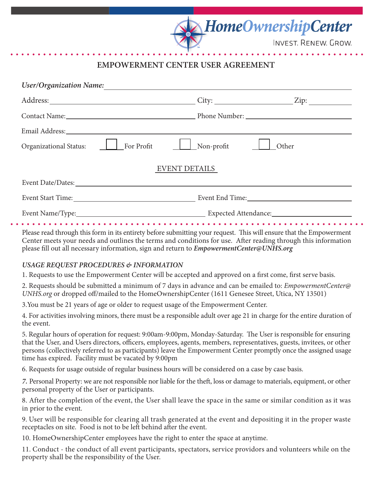**INVEST. RENEW. GROW.** 

**HomeOwnershipCenter** 

# **EMPOWERMENT CENTER USER AGREEMENT**

| <b>User/Organization Name:</b>                                                                                                                                                                                                 |                                                            |             |
|--------------------------------------------------------------------------------------------------------------------------------------------------------------------------------------------------------------------------------|------------------------------------------------------------|-------------|
|                                                                                                                                                                                                                                | $\text{City:}$                                             | $\chi$ Zip: |
| Contact Name: Contact Name: Contact Name: Contact Name: Contact Name: Contact Name: Contact Name: Contact Name: Contact Name: Contact Name: Contact Name: Contact Name: Contact Name: Contact Name: Contact Name: Contact Name |                                                            |             |
| Email Address: No. 1996. The Contract of the Contract of the Contract of the Contract of the Contract of the Contract of the Contract of the Contract of the Contract of the Contract of the Contract of the Contract of the C |                                                            |             |
| For Profit<br><b>Organizational Status:</b>                                                                                                                                                                                    | Non-profit                                                 | Other       |
| <b>EVENT DETAILS</b>                                                                                                                                                                                                           |                                                            |             |
| Event Date/Dates:                                                                                                                                                                                                              |                                                            |             |
|                                                                                                                                                                                                                                | Event Start Time: Event End Time: Event End Time:          |             |
|                                                                                                                                                                                                                                | Event Name/Type: Expected Attendance: Expected Attendance: |             |

Please read through this form in its entirety before submitting your request. This will ensure that the Empowerment Center meets your needs and outlines the terms and conditions for use. After reading through this information please fill out all necessary information, sign and return to *EmpowermentCenter@UNHS.org*

## *USAGE REQUEST PROCEDURES & INFORMATION*

1. Requests to use the Empowerment Center will be accepted and approved on a first come, first serve basis.

2. Requests should be submitted a minimum of 7 days in advance and can be emailed to: *EmpowermentCenter@ UNHS.org* or dropped off/mailed to the HomeOwnershipCenter (1611 Genesee Street, Utica, NY 13501)

3.You must be 21 years of age or older to request usage of the Empowerment Center.

4. For activities involving minors, there must be a responsible adult over age 21 in charge for the entire duration of the event.

5. Regular hours of operation for request: 9:00am-9:00pm, Monday-Saturday. The User is responsible for ensuring that the User, and Users directors, officers, employees, agents, members, representatives, guests, invitees, or other persons (collectively referred to as participants) leave the Empowerment Center promptly once the assigned usage time has expired. Facility must be vacated by 9:00pm

6. Requests for usage outside of regular business hours will be considered on a case by case basis.

*7.* Personal Property: we are not responsible nor liable for the theft, loss or damage to materials, equipment, or other personal property of the User or participants.

8. After the completion of the event, the User shall leave the space in the same or similar condition as it was in prior to the event.

9. User will be responsible for clearing all trash generated at the event and depositing it in the proper waste receptacles on site. Food is not to be left behind after the event.

10. HomeOwnershipCenter employees have the right to enter the space at anytime.

11. Conduct - the conduct of all event participants, spectators, service providors and volunteers while on the property shall be the responsibility of the User.